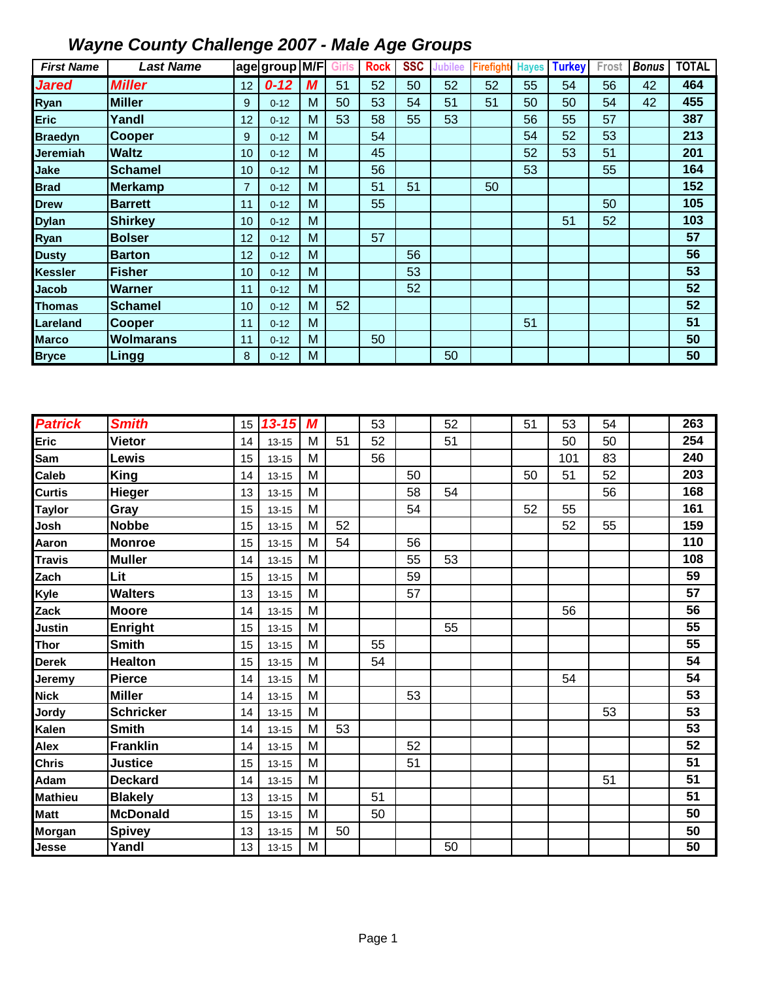| <b>First Name</b>     | <b>Last Name</b>               |                  | age group M/F          |           | <b>Girls</b> | <b>Rock</b> | <b>SSC</b> | <b>Jubilee</b> | <b>Firefight</b> | <b>Hayes</b> | <b>Turkey</b> | Frost | <b>Bonus</b> | <b>TOTAL</b> |
|-----------------------|--------------------------------|------------------|------------------------|-----------|--------------|-------------|------------|----------------|------------------|--------------|---------------|-------|--------------|--------------|
| <b>Jared</b>          | <b>Miller</b>                  | 12               | $0 - 12$               | M         | 51           | 52          | 50         | 52             | 52               | 55           | 54            | 56    | 42           | 464          |
| Ryan                  | <b>Miller</b>                  | $\boldsymbol{9}$ | $0 - 12$               | M         | 50           | 53          | 54         | 51             | 51               | 50           | 50            | 54    | 42           | 455          |
| <b>Eric</b>           | Yandl                          | 12               | $0 - 12$               | M         | 53           | 58          | 55         | 53             |                  | 56           | 55            | 57    |              | 387          |
| <b>Braedyn</b>        | Cooper                         | 9                | $0 - 12$               | M         |              | 54          |            |                |                  | 54           | 52            | 53    |              | 213          |
| Jeremiah              | <b>Waltz</b>                   | 10               | $0 - 12$               | M         |              | 45          |            |                |                  | 52           | 53            | 51    |              | 201          |
| Jake                  | <b>Schamel</b>                 | 10               | $0 - 12$               | M         |              | 56          |            |                |                  | 53           |               | 55    |              | 164          |
| <b>Brad</b>           | <b>Merkamp</b>                 | $\overline{7}$   | $0 - 12$               | M         |              | 51          | 51         |                | 50               |              |               |       |              | 152          |
| <b>Drew</b>           | <b>Barrett</b>                 | 11               | $0 - 12$               | M         |              | 55          |            |                |                  |              |               | 50    |              | 105          |
| <b>Dylan</b>          | <b>Shirkey</b>                 | 10               | $0 - 12$               | M         |              |             |            |                |                  |              | 51            | 52    |              | 103          |
| Ryan                  | <b>Bolser</b>                  | 12               | $0 - 12$               | M         |              | 57          |            |                |                  |              |               |       |              | 57           |
| <b>Dusty</b>          | <b>Barton</b>                  | 12               | $0 - 12$               | M         |              |             | 56         |                |                  |              |               |       |              | 56           |
| <b>Kessler</b>        | <b>Fisher</b>                  | 10               | $0 - 12$               | M         |              |             | 53         |                |                  |              |               |       |              | 53           |
| <b>Jacob</b>          | <b>Warner</b>                  | 11               | $0 - 12$               | M         |              |             | 52         |                |                  |              |               |       |              | 52           |
| <b>Thomas</b>         | <b>Schamel</b>                 | 10               | $0 - 12$               | M         | 52           |             |            |                |                  |              |               |       |              | 52           |
| Lareland              | <b>Cooper</b>                  | 11               | $0 - 12$               | M         |              |             |            |                |                  | 51           |               |       |              | 51           |
| <b>Marco</b>          | <b>Wolmarans</b>               | 11               | $0 - 12$               | M         |              | 50          |            |                |                  |              |               |       |              | 50           |
| <b>Bryce</b>          | Lingg                          | 8                | $0 - 12$               | M         |              |             |            | 50             |                  |              |               |       |              | 50           |
|                       |                                |                  |                        |           |              |             |            |                |                  |              |               |       |              |              |
| <b>Patrick</b>        | <b>Smith</b>                   | 15               | $13 - 15$              | M         |              | 53          |            | 52             |                  | 51           | 53            | 54    |              | 263          |
| Eric                  | Vietor                         | 14               | $13 - 15$              | M         | 51           | 52          |            | 51             |                  |              | 50            | 50    |              | 254          |
| Sam                   | Lewis                          | 15               | $13 - 15$              | M         |              | 56          |            |                |                  |              | 101           | 83    |              | 240          |
| Caleb                 | <b>King</b>                    | 14               | $13 - 15$              | M         |              |             | 50         |                |                  | 50           | 51            | 52    |              | 203          |
| <b>Curtis</b>         | <b>Hieger</b>                  | 13               | $13 - 15$              | M         |              |             | 58         | 54             |                  |              |               | 56    |              | 168<br>161   |
| <b>Taylor</b>         | Gray                           | 15               | $13 - 15$              | M         |              |             | 54         |                |                  | 52           | 55<br>52      |       |              | 159          |
| Josh                  | <b>Nobbe</b>                   | 15               | $13 - 15$              | M         | 52           |             |            |                |                  |              |               | 55    |              | 110          |
| Aaron                 | <b>Monroe</b><br><b>Muller</b> | 15               | $13 - 15$              | M         | 54           |             | 56<br>55   |                |                  |              |               |       |              | 108          |
| <b>Travis</b><br>Zach | Lit                            | 14               | $13 - 15$              | M<br>M    |              |             | 59         | 53             |                  |              |               |       |              | 59           |
|                       | <b>Walters</b>                 | 15               | $13 - 15$              | M         |              |             | 57         |                |                  |              |               |       |              | 57           |
| Kyle<br>Zack          | <b>Moore</b>                   | 13<br>14         | $13 - 15$              | ${\sf M}$ |              |             |            |                |                  |              | 56            |       |              | 56           |
| Justin                | Enright                        | 15               | $13 - 15$              | M         |              |             |            | 55             |                  |              |               |       |              | 55           |
| <b>Thor</b>           | <b>Smith</b>                   | 15               | $13 - 15$<br>$13 - 15$ | M         |              | 55          |            |                |                  |              |               |       |              | 55           |
| <b>Derek</b>          | <b>Healton</b>                 | 15               | $13 - 15$              | M         |              | 54          |            |                |                  |              |               |       |              | 54           |
| <b>Jeremy</b>         | Pierce                         | 14               | $13 - 15$              | M         |              |             |            |                |                  |              | 54            |       |              | 54           |
| <b>Nick</b>           | <b>Miller</b>                  | 14               | $13 - 15$              | M         |              |             | 53         |                |                  |              |               |       |              | 53           |
| Jordy                 | <b>Schricker</b>               | 14               | $13 - 15$              | M         |              |             |            |                |                  |              |               | 53    |              | 53           |
| Kalen                 | <b>Smith</b>                   | 14               | $13 - 15$              | M         | 53           |             |            |                |                  |              |               |       |              | 53           |
| Alex                  | <b>Franklin</b>                | 14               | $13 - 15$              | M         |              |             | 52         |                |                  |              |               |       |              | 52           |
| <b>Chris</b>          | <b>Justice</b>                 | 15               | $13 - 15$              | M         |              |             | 51         |                |                  |              |               |       |              | 51           |
| Adam                  | <b>Deckard</b>                 | 14               | $13 - 15$              | M         |              |             |            |                |                  |              |               | 51    |              | 51           |
| <b>Mathieu</b>        | <b>Blakely</b>                 | 13               | $13 - 15$              | M         |              | 51          |            |                |                  |              |               |       |              | 51           |
| <b>Matt</b>           | <b>McDonald</b>                | 15               | $13 - 15$              | M         |              | 50          |            |                |                  |              |               |       |              | 50           |
| Morgan                | <b>Spivey</b>                  | 13               | $13 - 15$              | M         | 50           |             |            |                |                  |              |               |       |              | 50           |
| Jesse                 | Yandl                          | 13               | $13 - 15$              | M         |              |             |            | 50             |                  |              |               |       |              | 50           |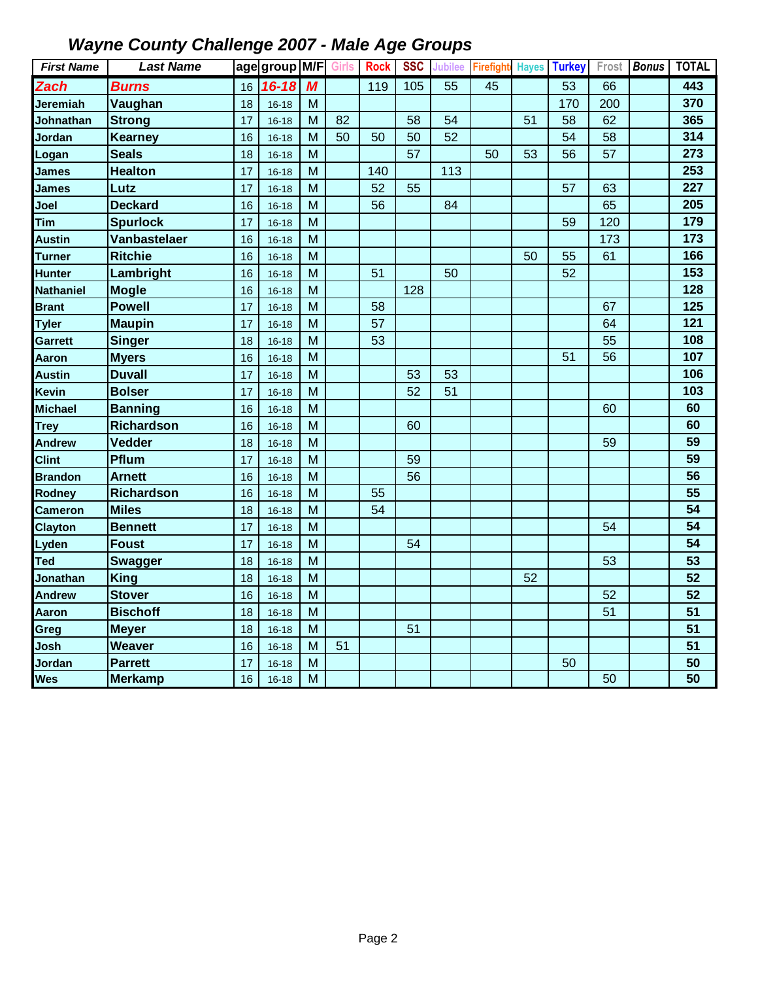| <b>First Name</b> | <b>Last Name</b>  |    | age group M/F Girls |   |    | <b>Rock</b> | <b>SSC</b> | Jubilee | <b>Firefight</b> | <b>Hayes</b> | <b>Turkey</b> | Frost | <b>Bonus</b> | <b>TOTAL</b>    |
|-------------------|-------------------|----|---------------------|---|----|-------------|------------|---------|------------------|--------------|---------------|-------|--------------|-----------------|
| <b>Zach</b>       | <b>Burns</b>      | 16 | $16 - 18$           | M |    | 119         | 105        | 55      | 45               |              | 53            | 66    |              | 443             |
| Jeremiah          | Vaughan           | 18 | $16 - 18$           | M |    |             |            |         |                  |              | 170           | 200   |              | 370             |
| Johnathan         | <b>Strong</b>     | 17 | $16 - 18$           | M | 82 |             | 58         | 54      |                  | 51           | 58            | 62    |              | 365             |
| Jordan            | <b>Kearney</b>    | 16 | $16 - 18$           | M | 50 | 50          | 50         | 52      |                  |              | 54            | 58    |              | 314             |
| Logan             | <b>Seals</b>      | 18 | $16 - 18$           | M |    |             | 57         |         | 50               | 53           | 56            | 57    |              | 273             |
| <b>James</b>      | <b>Healton</b>    | 17 | $16 - 18$           | M |    | 140         |            | 113     |                  |              |               |       |              | 253             |
| <b>James</b>      | Lutz              | 17 | $16 - 18$           | M |    | 52          | 55         |         |                  |              | 57            | 63    |              | 227             |
| Joel              | <b>Deckard</b>    | 16 | $16 - 18$           | M |    | 56          |            | 84      |                  |              |               | 65    |              | 205             |
| Tim               | <b>Spurlock</b>   | 17 | $16 - 18$           | M |    |             |            |         |                  |              | 59            | 120   |              | 179             |
| <b>Austin</b>     | Vanbastelaer      | 16 | $16 - 18$           | M |    |             |            |         |                  |              |               | 173   |              | 173             |
| <b>Turner</b>     | <b>Ritchie</b>    | 16 | $16 - 18$           | M |    |             |            |         |                  | 50           | 55            | 61    |              | 166             |
| <b>Hunter</b>     | Lambright         | 16 | $16 - 18$           | M |    | 51          |            | 50      |                  |              | 52            |       |              | 153             |
| <b>Nathaniel</b>  | <b>Mogle</b>      | 16 | $16 - 18$           | M |    |             | 128        |         |                  |              |               |       |              | 128             |
| <b>Brant</b>      | <b>Powell</b>     | 17 | $16 - 18$           | M |    | 58          |            |         |                  |              |               | 67    |              | 125             |
| <b>Tyler</b>      | <b>Maupin</b>     | 17 | $16 - 18$           | M |    | 57          |            |         |                  |              |               | 64    |              | 121             |
| Garrett           | <b>Singer</b>     | 18 | $16 - 18$           | M |    | 53          |            |         |                  |              |               | 55    |              | 108             |
| Aaron             | <b>Myers</b>      | 16 | $16 - 18$           | M |    |             |            |         |                  |              | 51            | 56    |              | 107             |
| <b>Austin</b>     | <b>Duvall</b>     | 17 | $16 - 18$           | M |    |             | 53         | 53      |                  |              |               |       |              | 106             |
| <b>Kevin</b>      | <b>Bolser</b>     | 17 | $16 - 18$           | M |    |             | 52         | 51      |                  |              |               |       |              | 103             |
| <b>Michael</b>    | <b>Banning</b>    | 16 | $16 - 18$           | M |    |             |            |         |                  |              |               | 60    |              | 60              |
| <b>Trey</b>       | Richardson        | 16 | $16 - 18$           | M |    |             | 60         |         |                  |              |               |       |              | 60              |
| <b>Andrew</b>     | <b>Vedder</b>     | 18 | $16 - 18$           | M |    |             |            |         |                  |              |               | 59    |              | 59              |
| <b>Clint</b>      | Pflum             | 17 | $16 - 18$           | M |    |             | 59         |         |                  |              |               |       |              | $\overline{59}$ |
| <b>Brandon</b>    | <b>Arnett</b>     | 16 | $16 - 18$           | M |    |             | 56         |         |                  |              |               |       |              | $\overline{56}$ |
| Rodney            | <b>Richardson</b> | 16 | $16 - 18$           | M |    | 55          |            |         |                  |              |               |       |              | $\overline{55}$ |
| <b>Cameron</b>    | <b>Miles</b>      | 18 | $16 - 18$           | M |    | 54          |            |         |                  |              |               |       |              | $\overline{54}$ |
| <b>Clayton</b>    | <b>Bennett</b>    | 17 | $16 - 18$           | M |    |             |            |         |                  |              |               | 54    |              | $\overline{54}$ |
| Lyden             | <b>Foust</b>      | 17 | $16 - 18$           | M |    |             | 54         |         |                  |              |               |       |              | 54              |
| Ted               | <b>Swagger</b>    | 18 | $16 - 18$           | M |    |             |            |         |                  |              |               | 53    |              | 53              |
| Jonathan          | <b>King</b>       | 18 | $16 - 18$           | M |    |             |            |         |                  | 52           |               |       |              | 52              |
| <b>Andrew</b>     | <b>Stover</b>     | 16 | $16 - 18$           | M |    |             |            |         |                  |              |               | 52    |              | 52              |
| Aaron             | <b>Bischoff</b>   | 18 | $16 - 18$           | M |    |             |            |         |                  |              |               | 51    |              | 51              |
| Greg              | <b>Meyer</b>      | 18 | $16 - 18$           | M |    |             | 51         |         |                  |              |               |       |              | 51              |
| Josh              | <b>Weaver</b>     | 16 | $16 - 18$           | M | 51 |             |            |         |                  |              |               |       |              | 51              |
| Jordan            | <b>Parrett</b>    | 17 | $16 - 18$           | M |    |             |            |         |                  |              | 50            |       |              | 50              |
| Wes               | <b>Merkamp</b>    | 16 | $16 - 18$           | M |    |             |            |         |                  |              |               | 50    |              | $\overline{50}$ |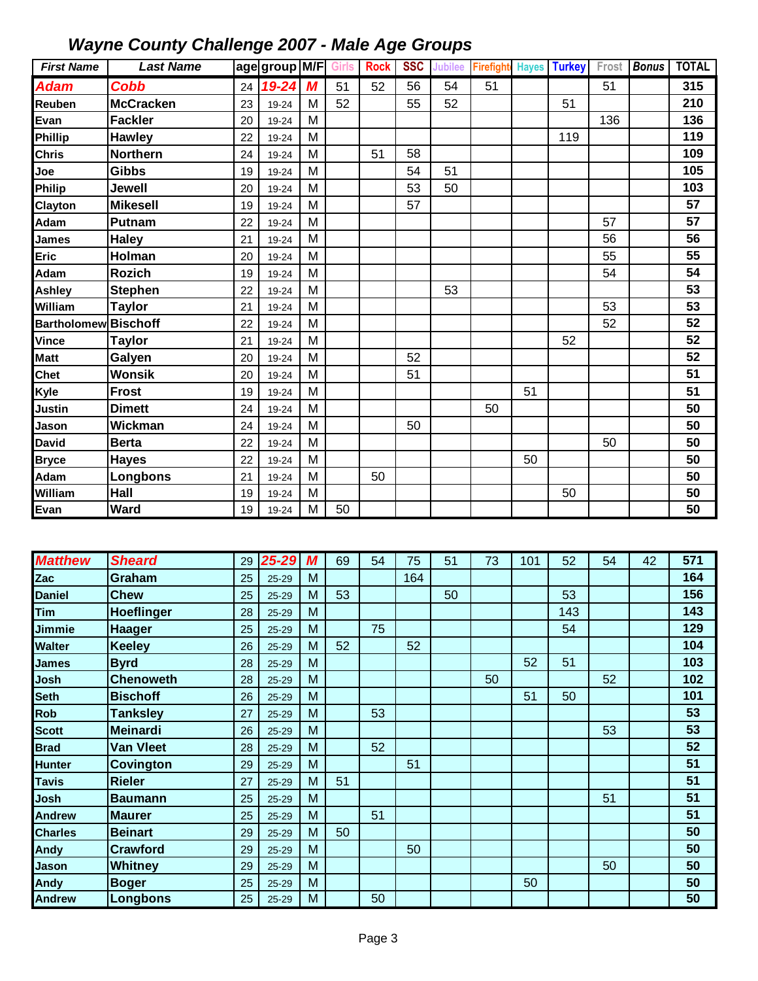| <b>First Name</b>           | <b>Last Name</b>  |    | age group M/F |                | <b>Girls</b> | <b>Rock</b> | <b>SSC</b> | <b>Jubilee</b> | <b>Firefight</b> |     | <b>Hayes Turkey</b> |     | Frost <b>Bonus</b> | <b>TOTAL</b>     |
|-----------------------------|-------------------|----|---------------|----------------|--------------|-------------|------------|----------------|------------------|-----|---------------------|-----|--------------------|------------------|
| <b>Adam</b>                 | Cobb              | 24 | 19-24         | M              | 51           | 52          | 56         | 54             | 51               |     |                     | 51  |                    | 315              |
| Reuben                      | <b>McCracken</b>  | 23 | 19-24         | M              | 52           |             | 55         | 52             |                  |     | 51                  |     |                    | 210              |
| Evan                        | <b>Fackler</b>    | 20 | 19-24         | M              |              |             |            |                |                  |     |                     | 136 |                    | 136              |
| Phillip                     | <b>Hawley</b>     | 22 | 19-24         | M              |              |             |            |                |                  |     | 119                 |     |                    | 119              |
| <b>Chris</b>                | <b>Northern</b>   | 24 | 19-24         | M              |              | 51          | 58         |                |                  |     |                     |     |                    | 109              |
| Joe                         | <b>Gibbs</b>      | 19 | 19-24         | M              |              |             | 54         | 51             |                  |     |                     |     |                    | 105              |
| Philip                      | Jewell            | 20 | 19-24         | M              |              |             | 53         | 50             |                  |     |                     |     |                    | 103              |
| <b>Clayton</b>              | <b>Mikesell</b>   | 19 | 19-24         | M              |              |             | 57         |                |                  |     |                     |     |                    | 57               |
| Adam                        | Putnam            | 22 | 19-24         | M              |              |             |            |                |                  |     |                     | 57  |                    | 57               |
| <b>James</b>                | <b>Haley</b>      | 21 | 19-24         | M              |              |             |            |                |                  |     |                     | 56  |                    | 56               |
| Eric                        | Holman            | 20 | 19-24         | M              |              |             |            |                |                  |     |                     | 55  |                    | 55               |
| Adam                        | <b>Rozich</b>     | 19 | 19-24         | M              |              |             |            |                |                  |     |                     | 54  |                    | 54               |
| Ashley                      | <b>Stephen</b>    | 22 | 19-24         | M              |              |             |            | 53             |                  |     |                     |     |                    | 53               |
| William                     | <b>Taylor</b>     | 21 | 19-24         | M              |              |             |            |                |                  |     |                     | 53  |                    | 53               |
| <b>Bartholomew Bischoff</b> |                   | 22 | 19-24         | M              |              |             |            |                |                  |     |                     | 52  |                    | 52               |
| <b>Vince</b>                | <b>Taylor</b>     | 21 | 19-24         | M              |              |             |            |                |                  |     | 52                  |     |                    | 52               |
| <b>Matt</b>                 | Galyen            | 20 | 19-24         | M              |              |             | 52         |                |                  |     |                     |     |                    | 52               |
| Chet                        | <b>Wonsik</b>     | 20 | 19-24         | M              |              |             | 51         |                |                  |     |                     |     |                    | 51               |
| Kyle                        | <b>Frost</b>      | 19 | 19-24         | M              |              |             |            |                |                  | 51  |                     |     |                    | 51               |
| Justin                      | <b>Dimett</b>     | 24 | 19-24         | M              |              |             |            |                | 50               |     |                     |     |                    | 50               |
| Jason                       | Wickman           | 24 | 19-24         | M              |              |             | 50         |                |                  |     |                     |     |                    | 50               |
| <b>David</b>                | <b>Berta</b>      | 22 | 19-24         | M              |              |             |            |                |                  |     |                     | 50  |                    | 50               |
| <b>Bryce</b>                | Hayes             | 22 | 19-24         | M              |              |             |            |                |                  | 50  |                     |     |                    | 50               |
| Adam                        | Longbons          | 21 | 19-24         | M              |              | 50          |            |                |                  |     |                     |     |                    | 50               |
| William                     | Hall              | 19 | 19-24         | M              |              |             |            |                |                  |     | 50                  |     |                    | 50               |
| Evan                        | <b>Ward</b>       | 19 | 19-24         | $\overline{M}$ | 50           |             |            |                |                  |     |                     |     |                    | 50               |
|                             |                   |    |               |                |              |             |            |                |                  |     |                     |     |                    |                  |
| <b>Matthew</b>              | <b>Sheard</b>     | 29 | 25-29         | M              | 69           | 54          | 75         | 51             | 73               | 101 | 52                  | 54  | 42                 | $\overline{571}$ |
| Zac                         | Graham            | 25 | 25-29         | M              |              |             | 164        |                |                  |     |                     |     |                    | 164              |
| <b>Daniel</b>               | <b>Chew</b>       | 25 | 25-29         | M              | 53           |             |            | 50             |                  |     | 53                  |     |                    | 156              |
| Tim                         | <b>Hoeflinger</b> | 28 | 25-29         | M              |              |             |            |                |                  |     | 143                 |     |                    | 143              |

| Zac            | Graham            | 25 | $25 - 29$ | M |    |    | 164 |    |    |    |     |    | 164 |
|----------------|-------------------|----|-----------|---|----|----|-----|----|----|----|-----|----|-----|
| <b>Daniel</b>  | <b>Chew</b>       | 25 | $25 - 29$ | M | 53 |    |     | 50 |    |    | 53  |    | 156 |
| Tim            | <b>Hoeflinger</b> | 28 | 25-29     | M |    |    |     |    |    |    | 143 |    | 143 |
| Jimmie         | <b>Haager</b>     | 25 | $25 - 29$ | M |    | 75 |     |    |    |    | 54  |    | 129 |
| <b>Walter</b>  | <b>Keeley</b>     | 26 | $25 - 29$ | M | 52 |    | 52  |    |    |    |     |    | 104 |
| <b>James</b>   | <b>Byrd</b>       | 28 | $25 - 29$ | M |    |    |     |    |    | 52 | 51  |    | 103 |
| Josh           | <b>Chenoweth</b>  | 28 | $25 - 29$ | M |    |    |     |    | 50 |    |     | 52 | 102 |
| <b>Seth</b>    | <b>Bischoff</b>   | 26 | $25 - 29$ | M |    |    |     |    |    | 51 | 50  |    | 101 |
| <b>Rob</b>     | <b>Tanksley</b>   | 27 | $25 - 29$ | M |    | 53 |     |    |    |    |     |    | 53  |
| <b>Scott</b>   | <b>Meinardi</b>   | 26 | $25 - 29$ | M |    |    |     |    |    |    |     | 53 | 53  |
| <b>Brad</b>    | <b>Van Vleet</b>  | 28 | 25-29     | M |    | 52 |     |    |    |    |     |    | 52  |
| <b>Hunter</b>  | <b>Covington</b>  | 29 | $25 - 29$ | M |    |    | 51  |    |    |    |     |    | 51  |
| <b>Tavis</b>   | <b>Rieler</b>     | 27 | $25 - 29$ | M | 51 |    |     |    |    |    |     |    | 51  |
| Josh           | <b>Baumann</b>    | 25 | $25 - 29$ | M |    |    |     |    |    |    |     | 51 | 51  |
| <b>Andrew</b>  | <b>Maurer</b>     | 25 | $25 - 29$ | M |    | 51 |     |    |    |    |     |    | 51  |
| <b>Charles</b> | <b>Beinart</b>    | 29 | $25 - 29$ | M | 50 |    |     |    |    |    |     |    | 50  |
| Andy           | <b>Crawford</b>   | 29 | $25 - 29$ | M |    |    | 50  |    |    |    |     |    | 50  |
| Jason          | <b>Whitney</b>    | 29 | $25 - 29$ | M |    |    |     |    |    |    |     | 50 | 50  |
| <b>Andy</b>    | <b>Boger</b>      | 25 | 25-29     | M |    |    |     |    |    | 50 |     |    | 50  |
| <b>Andrew</b>  | Longbons          | 25 | $25 - 29$ | M |    | 50 |     |    |    |    |     |    | 50  |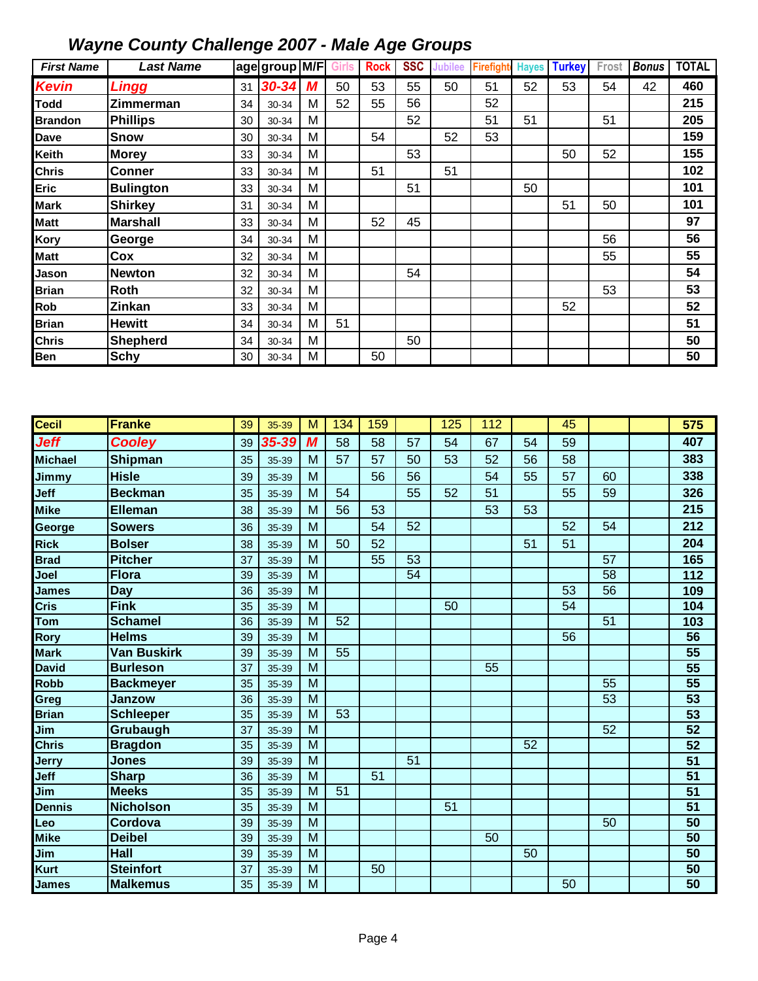| <b>First Name</b>    | <b>Last Name</b>                    |          | age group M/F  |                         | <b>Girls</b> | <b>Rock</b>     | <b>SSC</b> | <b>Jubilee</b> | Firefight | <b>Hayes</b> | <b>Turkey</b>   | Frost           | <b>Bonus</b> | <b>TOTAL</b>    |
|----------------------|-------------------------------------|----------|----------------|-------------------------|--------------|-----------------|------------|----------------|-----------|--------------|-----------------|-----------------|--------------|-----------------|
| <b>Kevin</b>         | <b>Lingg</b>                        | 31       | $30 - 34$      | M                       | 50           | 53              | 55         | 50             | 51        | 52           | 53              | 54              | 42           | 460             |
| <b>Todd</b>          | Zimmerman                           | 34       | 30-34          | M                       | 52           | 55              | 56         |                | 52        |              |                 |                 |              | 215             |
| <b>Brandon</b>       | <b>Phillips</b>                     | 30       | 30-34          | M                       |              |                 | 52         |                | 51        | 51           |                 | 51              |              | 205             |
| Dave                 | <b>Snow</b>                         | 30       | 30-34          | M                       |              | 54              |            | 52             | 53        |              |                 |                 |              | 159             |
| Keith                | <b>Morey</b>                        | 33       | 30-34          | M                       |              |                 | 53         |                |           |              | 50              | 52              |              | 155             |
| Chris                | <b>Conner</b>                       | 33       | 30-34          | M                       |              | 51              |            | 51             |           |              |                 |                 |              | 102             |
| Eric                 | <b>Bulington</b>                    | 33       | 30-34          | M                       |              |                 | 51         |                |           | 50           |                 |                 |              | 101             |
| Mark                 | <b>Shirkey</b>                      | 31       | 30-34          | M                       |              |                 |            |                |           |              | 51              | 50              |              | 101             |
| <b>Matt</b>          | <b>Marshall</b>                     | 33       | 30-34          | M                       |              | 52              | 45         |                |           |              |                 |                 |              | 97              |
| Kory                 | George                              | 34       | 30-34          | M                       |              |                 |            |                |           |              |                 | 56              |              | 56              |
| Matt                 | Cox                                 | 32       | 30-34          | M                       |              |                 |            |                |           |              |                 | 55              |              | 55              |
| Jason                | <b>Newton</b>                       | 32       | 30-34          | M                       |              |                 | 54         |                |           |              |                 |                 |              | 54              |
| <b>Brian</b>         | Roth                                | 32       | 30-34          | M                       |              |                 |            |                |           |              |                 | 53              |              | 53              |
| Rob                  | Zinkan                              | 33       | 30-34          | M                       |              |                 |            |                |           |              | 52              |                 |              | 52              |
| <b>Brian</b>         | <b>Hewitt</b>                       | 34       | 30-34          | M                       | 51           |                 |            |                |           |              |                 |                 |              | 51              |
| <b>Chris</b>         | <b>Shepherd</b>                     | 34       | 30-34          | M                       |              |                 | 50         |                |           |              |                 |                 |              | 50              |
| Ben                  | <b>Schy</b>                         | 30       | 30-34          | M                       |              | 50              |            |                |           |              |                 |                 |              | 50              |
|                      |                                     |          |                |                         |              |                 |            |                |           |              |                 |                 |              |                 |
|                      |                                     |          |                |                         |              |                 |            |                |           |              |                 |                 |              |                 |
| <b>Cecil</b>         | <b>Franke</b>                       | 39       | 35-39          | $\overline{\mathsf{M}}$ | 134          | 159             |            | 125            | 112       |              | $\overline{45}$ |                 |              | 575             |
| Jeff                 | <b>Cooley</b>                       | 39       | 35-39          | M                       | 58           | 58              | 57         | 54             | 67        | 54           | 59              |                 |              | 407             |
| <b>Michael</b>       | Shipman                             | 35       | 35-39          | M                       | 57           | 57              | 50         | 53             | 52        | 56           | 58              |                 |              | 383             |
| Jimmy                | <b>Hisle</b>                        | 39       | 35-39          | M                       |              | 56              | 56         |                | 54        | 55           | 57              | 60              |              | 338             |
| Jeff                 | <b>Beckman</b>                      | 35       | 35-39          | M                       | 54           |                 | 55         | 52             | 51        |              | 55              | 59              |              | 326             |
| Mike                 | <b>Elleman</b>                      | 38       | 35-39          | M                       | 56           | 53              |            |                | 53        | 53           |                 |                 |              | 215             |
| George               | <b>Sowers</b>                       | 36       | 35-39          | M                       |              | 54              | 52         |                |           |              | 52              | 54              |              | 212             |
| Rick                 | <b>Bolser</b>                       | 38       | 35-39          | M                       | 50           | 52              |            |                |           | 51           | 51              |                 |              | 204             |
| <b>Brad</b>          | <b>Pitcher</b>                      | 37       | 35-39          | M                       |              | $\overline{55}$ | 53         |                |           |              |                 | $\overline{57}$ |              | 165             |
| Joel                 | <b>Flora</b>                        | 39       | 35-39          | M                       |              |                 | 54         |                |           |              |                 | 58              |              | 112             |
| James                | <b>Day</b>                          | 36       | 35-39          | $\overline{M}$          |              |                 |            |                |           |              | 53              | $\overline{56}$ |              | 109             |
| <b>Cris</b>          | <b>Fink</b>                         | 35       | 35-39          | $\overline{M}$          |              |                 |            | 50             |           |              | 54              |                 |              | 104             |
| Tom                  | <b>Schamel</b>                      | 36       | 35-39          | M                       | 52           |                 |            |                |           |              |                 | 51              |              | 103             |
| Rory                 | <b>Helms</b>                        | 39       | 35-39          | M                       |              |                 |            |                |           |              | 56              |                 |              | 56              |
| <b>Mark</b>          | <b>Van Buskirk</b>                  | 39       | 35-39          | M                       | 55           |                 |            |                |           |              |                 |                 |              | $\overline{55}$ |
| <b>David</b><br>Robb | <b>Burleson</b><br><b>Backmeyer</b> | 37<br>35 | 35-39<br>35-39 | M<br>M                  |              |                 |            |                | 55        |              |                 | 55              |              | 55<br>55        |
| Greg                 | Janzow                              | 36       | 35-39          | M                       |              |                 |            |                |           |              |                 | 53              |              | 53              |
| <b>Brian</b>         | <b>Schleeper</b>                    | 35       | 35-39          | M                       | 53           |                 |            |                |           |              |                 |                 |              | 53              |
| Jim                  | Grubaugh                            | 37       | 35-39          | M                       |              |                 |            |                |           |              |                 | $\overline{52}$ |              | 52              |
| <b>Chris</b>         | <b>Bragdon</b>                      | 35       | 35-39          | M                       |              |                 |            |                |           | 52           |                 |                 |              | 52              |
| Jerry                | <b>Jones</b>                        | 39       | 35-39          | M                       |              |                 | 51         |                |           |              |                 |                 |              | 51              |
| Jeff                 | <b>Sharp</b>                        | 36       | 35-39          | M                       |              | 51              |            |                |           |              |                 |                 |              | 51              |
| Jim                  | <b>Meeks</b>                        | 35       | 35-39          | M                       | 51           |                 |            |                |           |              |                 |                 |              | 51              |
| <b>Dennis</b>        | <b>Nicholson</b>                    | 35       | 35-39          | M                       |              |                 |            | 51             |           |              |                 |                 |              | 51              |
| Leo                  | Cordova                             | 39       | 35-39          | M                       |              |                 |            |                |           |              |                 | 50              |              | 50              |
| <b>Mike</b>          | <b>Deibel</b>                       | 39       | 35-39          | M                       |              |                 |            |                | 50        |              |                 |                 |              | 50              |
| Jim                  | Hall                                | 39       | 35-39          | M                       |              |                 |            |                |           | 50           |                 |                 |              | 50              |
| Kurt                 | <b>Steinfort</b>                    | 37       | 35-39          | M                       |              | 50              |            |                |           |              |                 |                 |              | 50              |
| <b>James</b>         | <b>Malkemus</b>                     | 35       | 35-39          | M                       |              |                 |            |                |           |              | 50              |                 |              | 50              |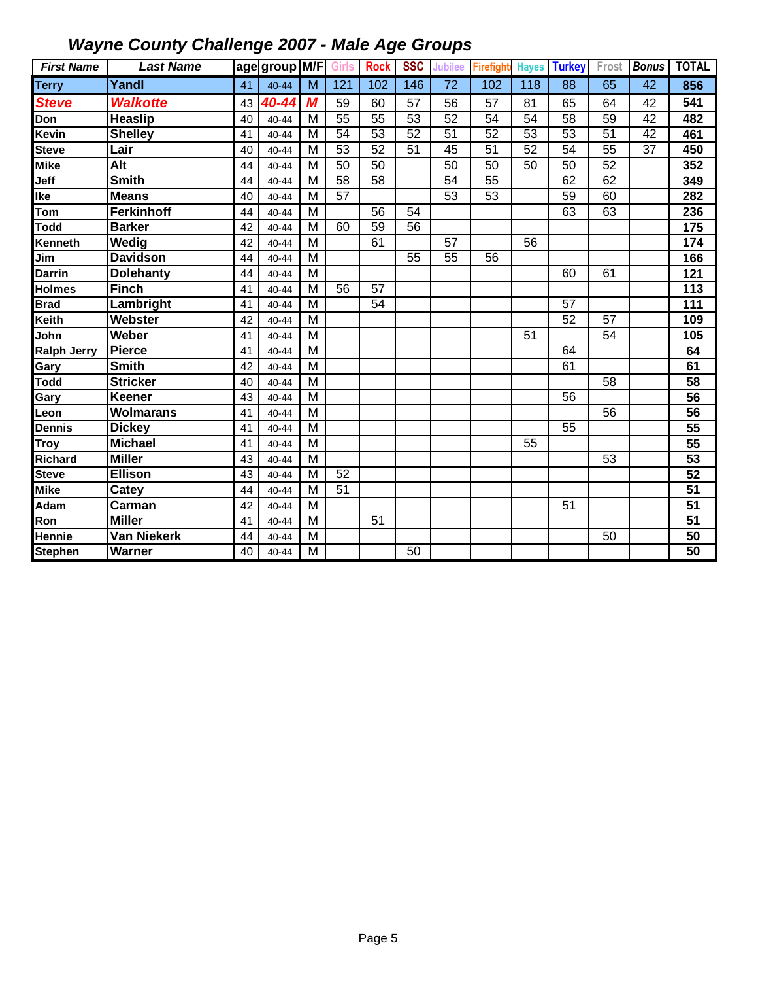| <b>First Name</b>  | <b>Last Name</b>   |    | age group M/F Girls |                |                 | <b>Rock</b>     | <b>SSC</b>      | Jubilee         | Firefight       | <b>Hayes</b> | <b>Turkey</b>   | Frost | <b>Bonus</b>    | <b>TOTAL</b>     |
|--------------------|--------------------|----|---------------------|----------------|-----------------|-----------------|-----------------|-----------------|-----------------|--------------|-----------------|-------|-----------------|------------------|
| <b>Terry</b>       | Yandl              | 41 | 40-44               | M              | 121             | 102             | 146             | $\overline{72}$ | 102             | 118          | 88              | 65    | $\overline{42}$ | 856              |
| <b>Steve</b>       | <b>Walkotte</b>    | 43 | 40-44               | M              | 59              | 60              | 57              | 56              | 57              | 81           | 65              | 64    | 42              | 541              |
| Don                | <b>Heaslip</b>     | 40 | 40-44               | M              | 55              | $\overline{55}$ | 53              | $\overline{52}$ | 54              | 54           | 58              | 59    | 42              | 482              |
| Kevin              | <b>Shelley</b>     | 41 | 40-44               | M              | 54              | 53              | 52              | 51              | 52              | 53           | 53              | 51    | 42              | 461              |
| <b>Steve</b>       | Lair               | 40 | 40-44               | M              | 53              | 52              | 51              | 45              | 51              | 52           | 54              | 55    | 37              | 450              |
| Mike               | Alt                | 44 | $40 - 44$           | M              | 50              | 50              |                 | 50              | 50              | 50           | 50              | 52    |                 | 352              |
| Jeff               | <b>Smith</b>       | 44 | $40 - 44$           | M              | 58              | 58              |                 | $\overline{54}$ | $\overline{55}$ |              | 62              | 62    |                 | 349              |
| lke                | <b>Means</b>       | 40 | $40 - 44$           | $\overline{M}$ | $\overline{57}$ |                 |                 | $\overline{53}$ | $\overline{53}$ |              | $\overline{59}$ | 60    |                 | 282              |
| Tom                | <b>Ferkinhoff</b>  | 44 | 40-44               | M              |                 | 56              | 54              |                 |                 |              | 63              | 63    |                 | 236              |
| Todd               | <b>Barker</b>      | 42 | 40-44               | M              | 60              | 59              | 56              |                 |                 |              |                 |       |                 | 175              |
| Kenneth            | Wedig              | 42 | 40-44               | M              |                 | 61              |                 | 57              |                 | 56           |                 |       |                 | 174              |
| Jim                | <b>Davidson</b>    | 44 | 40-44               | M              |                 |                 | 55              | 55              | 56              |              |                 |       |                 | 166              |
| <b>Darrin</b>      | <b>Dolehanty</b>   | 44 | 40-44               | M              |                 |                 |                 |                 |                 |              | 60              | 61    |                 | $\overline{121}$ |
| <b>Holmes</b>      | <b>Finch</b>       | 41 | 40-44               | M              | 56              | 57              |                 |                 |                 |              |                 |       |                 | 113              |
| <b>Brad</b>        | Lambright          | 41 | 40-44               | M              |                 | 54              |                 |                 |                 |              | 57              |       |                 | 111              |
| Keith              | Webster            | 42 | 40-44               | M              |                 |                 |                 |                 |                 |              | 52              | 57    |                 | 109              |
| John               | Weber              | 41 | $40 - 44$           | M              |                 |                 |                 |                 |                 | 51           |                 | 54    |                 | 105              |
| <b>Ralph Jerry</b> | <b>Pierce</b>      | 41 | $40 - 44$           | M              |                 |                 |                 |                 |                 |              | 64              |       |                 | 64               |
| Gary               | <b>Smith</b>       | 42 | $40 - 44$           | $\overline{M}$ |                 |                 |                 |                 |                 |              | 61              |       |                 | 61               |
| <b>Todd</b>        | <b>Stricker</b>    | 40 | 40-44               | M              |                 |                 |                 |                 |                 |              |                 | 58    |                 | 58               |
| Gary               | <b>Keener</b>      | 43 | 40-44               | M              |                 |                 |                 |                 |                 |              | 56              |       |                 | 56               |
| Leon               | <b>Wolmarans</b>   | 41 | 40-44               | M              |                 |                 |                 |                 |                 |              |                 | 56    |                 | 56               |
| Dennis             | <b>Dickey</b>      | 41 | 40-44               | M              |                 |                 |                 |                 |                 |              | 55              |       |                 | 55               |
| <b>Troy</b>        | <b>Michael</b>     | 41 | 40-44               | M              |                 |                 |                 |                 |                 | 55           |                 |       |                 | $\overline{55}$  |
| Richard            | <b>Miller</b>      | 43 | 40-44               | M              |                 |                 |                 |                 |                 |              |                 | 53    |                 | 53               |
| <b>Steve</b>       | <b>Ellison</b>     | 43 | 40-44               | M              | 52              |                 |                 |                 |                 |              |                 |       |                 | $\overline{52}$  |
| Mike               | Catey              | 44 | 40-44               | M              | 51              |                 |                 |                 |                 |              |                 |       |                 | $\overline{51}$  |
| Adam               | Carman             | 42 | $40 - 44$           | M              |                 |                 |                 |                 |                 |              | 51              |       |                 | 51               |
| Ron                | <b>Miller</b>      | 41 | 40-44               | M              |                 | 51              |                 |                 |                 |              |                 |       |                 | $\overline{51}$  |
| Hennie             | <b>Van Niekerk</b> | 44 | 40-44               | M              |                 |                 |                 |                 |                 |              |                 | 50    |                 | $\overline{50}$  |
| <b>Stephen</b>     | Warner             | 40 | $40 - 44$           | M              |                 |                 | $\overline{50}$ |                 |                 |              |                 |       |                 | 50               |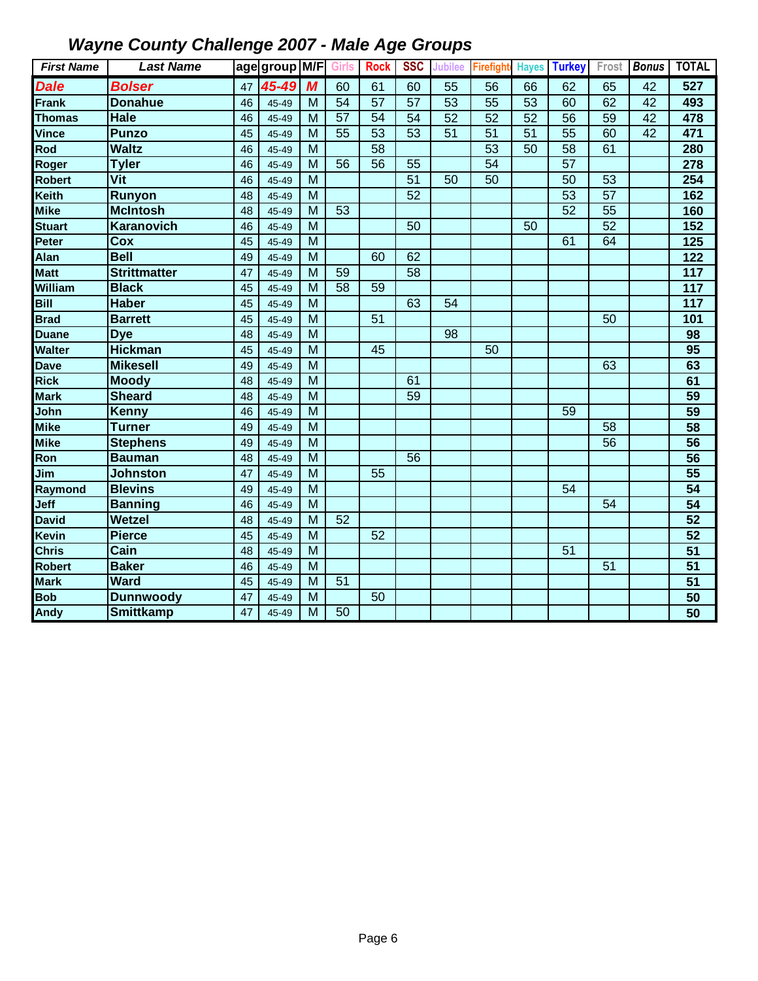| <b>First Name</b> | <b>Last Name</b>    |    | age group M/F Girls |                |                 | <b>Rock</b>     | <b>SSC</b>      | <b>Jubilee</b>  | <b>Firefight</b> |    | <b>Hayes</b> Turkey |                 | Frost <b>Bonus</b> | <b>TOTAL</b>      |
|-------------------|---------------------|----|---------------------|----------------|-----------------|-----------------|-----------------|-----------------|------------------|----|---------------------|-----------------|--------------------|-------------------|
| <b>Dale</b>       | <b>Bolser</b>       | 47 | 45-49               | M              | 60              | 61              | 60              | 55              | 56               | 66 | 62                  | 65              | 42                 | 527               |
| <b>Frank</b>      | <b>Donahue</b>      | 46 | 45-49               | M              | $\overline{54}$ | $\overline{57}$ | $\overline{57}$ | $\overline{53}$ | 55               | 53 | 60                  | 62              | 42                 | 493               |
| <b>Thomas</b>     | <b>Hale</b>         | 46 | 45-49               | M              | $\overline{57}$ | $\overline{54}$ | 54              | $\overline{52}$ | 52               | 52 | 56                  | 59              | 42                 | 478               |
| <b>Vince</b>      | <b>Punzo</b>        | 45 | 45-49               | M              | 55              | $\overline{53}$ | 53              | $\overline{51}$ | 51               | 51 | 55                  | 60              | 42                 | 471               |
| Rod               | <b>Waltz</b>        | 46 | 45-49               | M              |                 | $\overline{58}$ |                 |                 | 53               | 50 | 58                  | 61              |                    | 280               |
| Roger             | <b>Tyler</b>        | 46 | 45-49               | M              | 56              | 56              | 55              |                 | 54               |    | $\overline{57}$     |                 |                    | 278               |
| <b>Robert</b>     | Vit                 | 46 | 45-49               | M              |                 |                 | 51              | 50              | 50               |    | 50                  | 53              |                    | 254               |
| <b>Keith</b>      | <b>Runyon</b>       | 48 | 45-49               | M              |                 |                 | $\overline{52}$ |                 |                  |    | $\overline{53}$     | $\overline{57}$ |                    | 162               |
| <b>Mike</b>       | <b>McIntosh</b>     | 48 | 45-49               | M              | 53              |                 |                 |                 |                  |    | $\overline{52}$     | $\overline{55}$ |                    | 160               |
| <b>Stuart</b>     | <b>Karanovich</b>   | 46 | 45-49               | M              |                 |                 | 50              |                 |                  | 50 |                     | $\overline{52}$ |                    | 152               |
| Peter             | Cox                 | 45 | 45-49               | M              |                 |                 |                 |                 |                  |    | 61                  | 64              |                    | 125               |
| Alan              | <b>Bell</b>         | 49 | 45-49               | M              |                 | 60              | 62              |                 |                  |    |                     |                 |                    | 122               |
| <b>Matt</b>       | <b>Strittmatter</b> | 47 | 45-49               | M              | 59              |                 | 58              |                 |                  |    |                     |                 |                    | $\frac{117}{117}$ |
| William           | <b>Black</b>        | 45 | 45-49               | M              | 58              | 59              |                 |                 |                  |    |                     |                 |                    | 117               |
| Bill              | <b>Haber</b>        | 45 | 45-49               | M              |                 |                 | 63              | 54              |                  |    |                     |                 |                    | 117               |
| <b>Brad</b>       | <b>Barrett</b>      | 45 | 45-49               | $\overline{M}$ |                 | 51              |                 |                 |                  |    |                     | 50              |                    | 101               |
| <b>Duane</b>      | <b>Dye</b>          | 48 | 45-49               | M              |                 |                 |                 | 98              |                  |    |                     |                 |                    | 98                |
| <b>Walter</b>     | <b>Hickman</b>      | 45 | 45-49               | M              |                 | 45              |                 |                 | 50               |    |                     |                 |                    | 95                |
| <b>Dave</b>       | <b>Mikesell</b>     | 49 | 45-49               | M              |                 |                 |                 |                 |                  |    |                     | 63              |                    | 63                |
| <b>Rick</b>       | <b>Moody</b>        | 48 | 45-49               | M              |                 |                 | 61              |                 |                  |    |                     |                 |                    | 61                |
| <b>Mark</b>       | <b>Sheard</b>       | 48 | 45-49               | M              |                 |                 | $\overline{59}$ |                 |                  |    |                     |                 |                    | 59                |
| John              | <b>Kenny</b>        | 46 | 45-49               | $\overline{M}$ |                 |                 |                 |                 |                  |    | 59                  |                 |                    | 59                |
| <b>Mike</b>       | Turner              | 49 | 45-49               | M              |                 |                 |                 |                 |                  |    |                     | 58              |                    | $\overline{58}$   |
| <b>Mike</b>       | <b>Stephens</b>     | 49 | 45-49               | M              |                 |                 |                 |                 |                  |    |                     | $\overline{56}$ |                    | 56                |
| Ron               | <b>Bauman</b>       | 48 | 45-49               | M              |                 |                 | 56              |                 |                  |    |                     |                 |                    | 56                |
| Jim               | <b>Johnston</b>     | 47 | 45-49               | M              |                 | 55              |                 |                 |                  |    |                     |                 |                    | $\overline{55}$   |
| Raymond           | <b>Blevins</b>      | 49 | 45-49               | M              |                 |                 |                 |                 |                  |    | 54                  |                 |                    | 54                |
| <b>Jeff</b>       | <b>Banning</b>      | 46 | 45-49               | M              |                 |                 |                 |                 |                  |    |                     | 54              |                    | $\overline{54}$   |
| <b>David</b>      | <b>Wetzel</b>       | 48 | 45-49               | $\overline{M}$ | $\overline{52}$ |                 |                 |                 |                  |    |                     |                 |                    | $\overline{52}$   |
| <b>Kevin</b>      | <b>Pierce</b>       | 45 | 45-49               | M              |                 | 52              |                 |                 |                  |    |                     |                 |                    | $\overline{52}$   |
| <b>Chris</b>      | Cain                | 48 | 45-49               | M              |                 |                 |                 |                 |                  |    | 51                  |                 |                    | 51                |
| <b>Robert</b>     | <b>Baker</b>        | 46 | 45-49               | M              |                 |                 |                 |                 |                  |    |                     | 51              |                    | 51                |
| <b>Mark</b>       | <b>Ward</b>         | 45 | 45-49               | M              | 51              |                 |                 |                 |                  |    |                     |                 |                    | $\overline{51}$   |
| <b>Bob</b>        | <b>Dunnwoody</b>    | 47 | 45-49               | M              |                 | 50              |                 |                 |                  |    |                     |                 |                    | $\overline{50}$   |
| <b>Andy</b>       | <b>Smittkamp</b>    | 47 | 45-49               | M              | 50              |                 |                 |                 |                  |    |                     |                 |                    | $\overline{50}$   |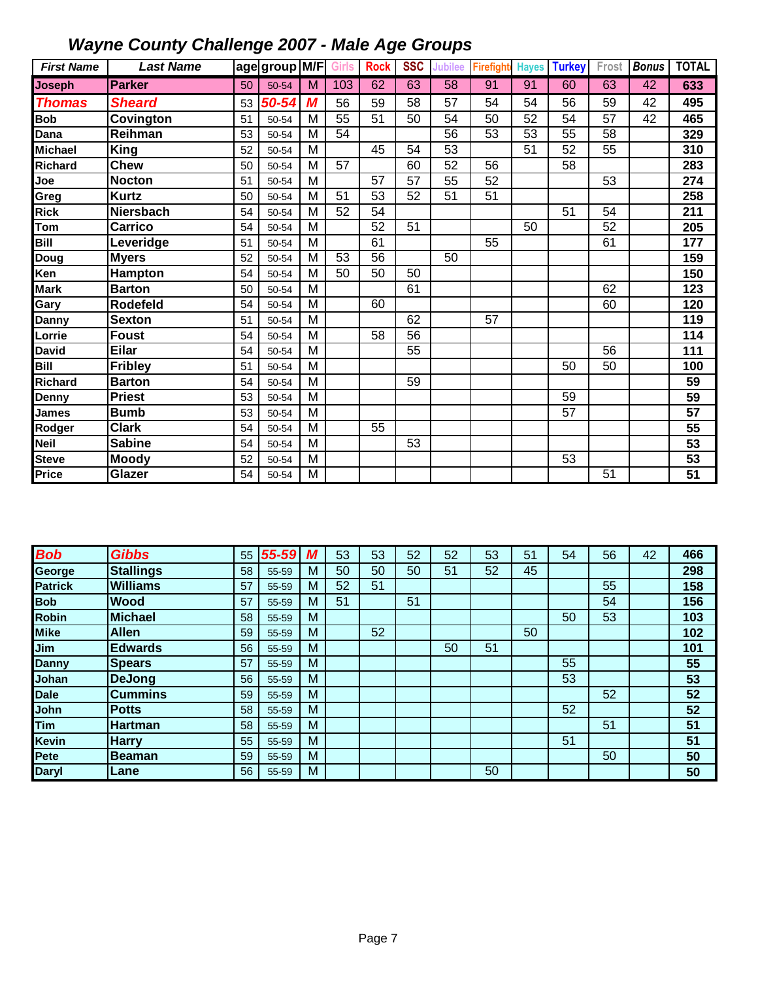| <b>First Name</b> | <b>Last Name</b> |    | age group M/F |                | Girls | <b>Rock</b>     | <b>SSC</b> | Jubilee | Firefight | <b>Hayes</b> | <b>Turkey</b> | Frost | <b>Bonus</b> | <b>TOTAL</b>    |
|-------------------|------------------|----|---------------|----------------|-------|-----------------|------------|---------|-----------|--------------|---------------|-------|--------------|-----------------|
| <b>Joseph</b>     | <b>Parker</b>    | 50 | 50-54         | M              | 103   | 62              | 63         | 58      | 91        | 91           | 60            | 63    | 42           | 633             |
| <b>Thomas</b>     | <b>Sheard</b>    | 53 | 50-54         | M              | 56    | 59              | 58         | 57      | 54        | 54           | 56            | 59    | 42           | 495             |
| <b>Bob</b>        | Covington        | 51 | 50-54         | M              | 55    | $\overline{51}$ | 50         | 54      | 50        | 52           | 54            | 57    | 42           | 465             |
| Dana              | Reihman          | 53 | 50-54         | M              | 54    |                 |            | 56      | 53        | 53           | 55            | 58    |              | 329             |
| Michael           | King             | 52 | 50-54         | M              |       | 45              | 54         | 53      |           | 51           | 52            | 55    |              | 310             |
| Richard           | <b>Chew</b>      | 50 | 50-54         | M              | 57    |                 | 60         | 52      | 56        |              | 58            |       |              | 283             |
| Joe               | <b>Nocton</b>    | 51 | 50-54         | M              |       | 57              | 57         | 55      | 52        |              |               | 53    |              | 274             |
| Greg              | <b>Kurtz</b>     | 50 | 50-54         | M              | 51    | 53              | 52         | 51      | 51        |              |               |       |              | 258             |
| Rick              | Niersbach        | 54 | 50-54         | M              | 52    | 54              |            |         |           |              | 51            | 54    |              | 211             |
| Tom               | <b>Carrico</b>   | 54 | 50-54         | M              |       | 52              | 51         |         |           | 50           |               | 52    |              | 205             |
| Bill              | Leveridge        | 51 | 50-54         | M              |       | 61              |            |         | 55        |              |               | 61    |              | 177             |
| Doug              | <b>Myers</b>     | 52 | 50-54         | M              | 53    | 56              |            | 50      |           |              |               |       |              | 159             |
| Ken               | Hampton          | 54 | 50-54         | M              | 50    | 50              | 50         |         |           |              |               |       |              | 150             |
| <b>Mark</b>       | <b>Barton</b>    | 50 | 50-54         | M              |       |                 | 61         |         |           |              |               | 62    |              | 123             |
| Gary              | Rodefeld         | 54 | 50-54         | M              |       | 60              |            |         |           |              |               | 60    |              | 120             |
| Danny             | <b>Sexton</b>    | 51 | 50-54         | M              |       |                 | 62         |         | 57        |              |               |       |              | 119             |
| Lorrie            | <b>Foust</b>     | 54 | 50-54         | M              |       | 58              | 56         |         |           |              |               |       |              | 114             |
| <b>David</b>      | <b>Eilar</b>     | 54 | 50-54         | M              |       |                 | 55         |         |           |              |               | 56    |              | 111             |
| Bill              | <b>Fribley</b>   | 51 | 50-54         | M              |       |                 |            |         |           |              | 50            | 50    |              | 100             |
| Richard           | <b>Barton</b>    | 54 | 50-54         | $\overline{M}$ |       |                 | 59         |         |           |              |               |       |              | $\overline{59}$ |
| Denny             | <b>Priest</b>    | 53 | 50-54         | M              |       |                 |            |         |           |              | 59            |       |              | 59              |
| James             | <b>Bumb</b>      | 53 | 50-54         | M              |       |                 |            |         |           |              | 57            |       |              | 57              |
| Rodger            | <b>Clark</b>     | 54 | 50-54         | M              |       | 55              |            |         |           |              |               |       |              | 55              |
| Neil              | <b>Sabine</b>    | 54 | 50-54         | M              |       |                 | 53         |         |           |              |               |       |              | $\overline{53}$ |
| <b>Steve</b>      | <b>Moody</b>     | 52 | 50-54         | M              |       |                 |            |         |           |              | 53            |       |              | 53              |
| Price             | Glazer           | 54 | 50-54         | M              |       |                 |            |         |           |              |               | 51    |              | 51              |

| <b>Bob</b>     | <b>Gibbs</b>     | 55 | 55-59 | М | 53 | 53 | 52 | 52 | 53 | 51 | 54 | 56 | 42 | 466 |
|----------------|------------------|----|-------|---|----|----|----|----|----|----|----|----|----|-----|
| George         | <b>Stallings</b> | 58 | 55-59 | M | 50 | 50 | 50 | 51 | 52 | 45 |    |    |    | 298 |
| <b>Patrick</b> | <b>Williams</b>  | 57 | 55-59 | M | 52 | 51 |    |    |    |    |    | 55 |    | 158 |
| <b>Bob</b>     | <b>Wood</b>      | 57 | 55-59 | M | 51 |    | 51 |    |    |    |    | 54 |    | 156 |
| <b>Robin</b>   | <b>Michael</b>   | 58 | 55-59 | M |    |    |    |    |    |    | 50 | 53 |    | 103 |
| <b>Mike</b>    | <b>Allen</b>     | 59 | 55-59 | M |    | 52 |    |    |    | 50 |    |    |    | 102 |
| Jim            | <b>Edwards</b>   | 56 | 55-59 | M |    |    |    | 50 | 51 |    |    |    |    | 101 |
| <b>Danny</b>   | <b>Spears</b>    | 57 | 55-59 | M |    |    |    |    |    |    | 55 |    |    | 55  |
| Johan          | <b>DeJong</b>    | 56 | 55-59 | M |    |    |    |    |    |    | 53 |    |    | 53  |
| <b>Dale</b>    | <b>Cummins</b>   | 59 | 55-59 | M |    |    |    |    |    |    |    | 52 |    | 52  |
| John           | <b>Potts</b>     | 58 | 55-59 | M |    |    |    |    |    |    | 52 |    |    | 52  |
| Tim            | <b>Hartman</b>   | 58 | 55-59 | M |    |    |    |    |    |    |    | 51 |    | 51  |
| <b>Kevin</b>   | <b>Harry</b>     | 55 | 55-59 | M |    |    |    |    |    |    | 51 |    |    | 51  |
| Pete           | Beaman           | 59 | 55-59 | M |    |    |    |    |    |    |    | 50 |    | 50  |
| <b>Daryl</b>   | Lane             | 56 | 55-59 | M |    |    |    |    | 50 |    |    |    |    | 50  |